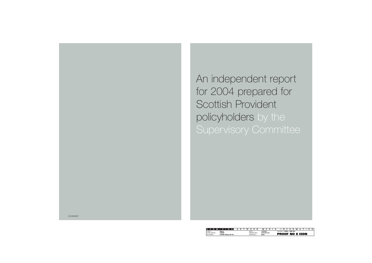An independent report for 2004 prepared for Scottish Provident policyholders by the Supervisory Committee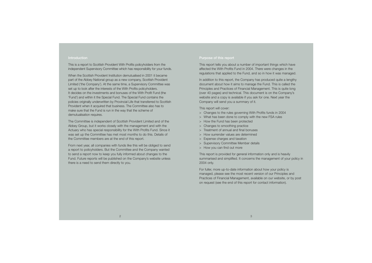#### **Introduction**

This is a report to Scottish Provident With Profits policyholders from the independent Supervisory Committee which has responsibility for your funds.

When the Scottish Provident Institution demutualised in 2001 it became part of the Abbey National group as a new company, Scottish Provident Limited ('the Company'). At the same time, a Supervisory Committee was set up to look after the interests of the With Profits policyholders. It decides on the investments and bonuses of the With Profit Fund (the 'Fund') and within it the Special Fund. The Special Fund contains the policies originally underwritten by Provincial Life that transferred to Scottish Provident when it acquired that business. The Committee also has to make sure that the Fund is run in the way that the scheme of demutualisation requires.

The Committee is independent of Scottish Provident Limited and of the Abbey Group, but it works closely with the management and with the Actuary who has special responsibility for the With Profits Fund. Since it was set up the Committee has met most months to do this. Details of the Committee members are at the end of this report.

From next year, all companies with funds like this will be obliged to send a report to policyholders. But the Committee and the Company wanted to send a report now to keep you fully informed about changes to the Fund. Future reports will be published on the Company's website unless there is a need to send them directly to you.

## **Purpose of this report**

This report tells you about a number of important things which have affected the With Profits Fund in 2004. There were changes in the regulations that applied to the Fund, and so in how it was managed.

In addition to this report, the Company has produced quite a lengthy document about how it aims to manage the Fund. This is called the Principles and Practices of Financial Management. This is quite long (over 40 pages) and technical. This document is on the Company's website and a copy is available if you ask for one. Next year the Company will send you a summary of it.

This report will cover:

- <sup>&</sup>gt; Changes to the rules governing With Profits funds in 2004
- <sup>&</sup>gt; What has been done to comply with the new FSA rules
- <sup>&</sup>gt; How the Fund has been protected
- <sup>&</sup>gt; Changes to smoothing practice
- > Treatment of annual and final bonuses
- > How surrender values are determined
- <sup>&</sup>gt; Expense charges and taxation
- <sup>&</sup>gt; Supervisory Committee Member details
- <sup>&</sup>gt; How you can find out more

This report is provided for general information only and is heavily summarised and simplified. It concerns the management of your policy in 2004 only.

For fuller, more up-to-date information about how your policy is managed, please see the most recent version of our Principles and Practices of Financial Management, available on our website, or by post on request (see the end of this report for contact information).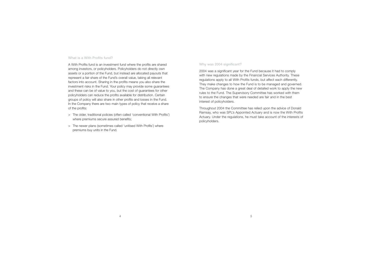#### **What is a With Profits fund?**

A With Profits fund is an investment fund where the profits are shared among investors, or policyholders. Policyholders do not directly own assets or a portion of the Fund, but instead are allocated payouts that represent a fair share of the Fund's overall value, taking all relevant factors into account. Sharing in the profits means you also share the investment risks in the Fund. Your policy may provide some guarantees and these can be of value to you, but the cost of guarantees for other policyholders can reduce the profits available for distribution. Certain groups of policy will also share in other profits and losses in the Fund. In the Company there are two main types of policy that receive a share of the profits:

- <sup>&</sup>gt; The older, traditional policies (often called 'conventional With Profits') where premiums secure assured benefits;
- <sup>&</sup>gt; The newer plans (sometimes called 'unitised With Profits') where premiums buy units in the Fund.

#### **Why was 2004 significant?**

2004 was a significant year for the Fund because it had to comply with new regulations made by the Financial Services Authority. These regulations apply to all With Profits funds, but affect each differently. They make changes to how the Fund is to be managed and governed. The Company has done a great deal of detailed work to apply the new rules to the Fund. The Supervisory Committee has worked with them to ensure the changes that were needed are fair and in the best interest of policyholders.

Throughout 2004 the Committee has relied upon the advice of Donald Ramsay, who was SPL's Appointed Actuary and is now the With Profits Actuary. Under the regulations, he must take account of the interests of policyholders.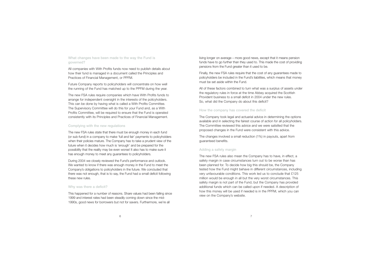**What changes have been made to the way the Fund is governed?** 

All companies with With Profits funds now need to publish details about how their fund is managed in a document called the Principles and Practices of Financial Management, or PPFM.

Future Company reports to policyholders will concentrate on how well the running of the Fund has matched up to the PPFM during the year.

The new FSA rules require companies which have With Profits funds to arrange for independent oversight in the interests of the policyholders. This can be done by having what is called a With Profits Committee. The Supervisory Committee will do this for your Fund and, as a With Profits Committee, will be required to ensure that the Fund is operated consistently with its Principles and Practices of Financial Management.

#### **Complying with the new regulations**

The new FSA rules state that there must be enough money in each fund (or sub-fund) in a company to make 'full and fair' payments to policyholders when their policies mature. The Company has to take a prudent view of the future when it decides how much is 'enough' and be prepared for the possibility that the reality may be even worse! It also has to make sure it has enough money to meet any guarantees to policyholders.

During 2004 we closely reviewed the Fund's performance and outlook. We wanted to know if there was enough money in the Fund to meet the Company's obligations to policyholders in the future. We concluded that there was not enough, that is to say, the Fund had a small deficit following these new rules.

## **Why was there a deficit?**

This happened for a number of reasons. Share values had been falling since 1999 and interest rates had been steadily coming down since the mid-1990s, good news for borrowers but not for savers. Furthermore, we're all

living longer on average – more good news, except that it means pension funds have to go further than they used to. This made the cost of providing pensions from the Fund greater than it used to be.

Finally, the new FSA rules require that the cost of any guarantees made to policyholders be included in the Fund's liabilities, which means that money must be set aside within the Fund.

All of these factors combined to turn what was a surplus of assets under the regulatory rules in force at the time Abbey acquired the Scottish Provident business to a small deficit in 2004 under the new rules. So, what did the Company do about this deficit?

## **How the company has covered the deficit**

The Company took legal and actuarial advice in determining the options available and in selecting the fairest course of action for all policyholders. The Committee reviewed this advice and we were satisfied that the proposed changes in the Fund were consistent with this advice.

The changes involved a small reduction (1%) in payouts, apart from guaranteed benefits.

# **Adding a safety margin**

The new FSA rules also mean the Company has to have, in effect, a safety margin in case circumstances turn out to be worse than has been planned for. To decide how big this should be, the Company tested how the Fund might behave in different circumstances, including very unfavourable conditions. This work led us to conclude that £125 million would be enough in all but the very worst circumstances. This safety margin is not part of the Fund, but the Company has provided additional funds which can be called upon if needed. A description of how this money will be used if needed is in the PPFM, which you can view on the Company's website.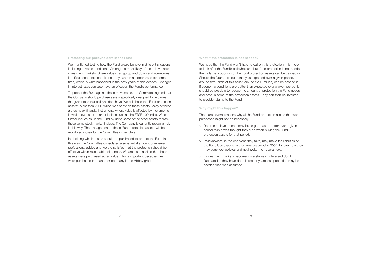# **Protecting our policyholders in the Fund**

We mentioned testing how the Fund would behave in different situations, including adverse conditions. Among the most likely of these is variable investment markets. Share values can go up and down and sometimes, in difficult economic conditions, they can remain depressed for some time, which is what happened in the early years of this decade. Changes in interest rates can also have an effect on the Fund's performance.

To protect the Fund against these movements, the Committee agreed that the Company should purchase assets specifically designed to help meet the guarantees that policyholders have. We call these the 'Fund protection assets'. More than £300 million was spent on these assets. Many of these are complex financial instruments whose value is affected by movements in well-known stock market indices such as the FTSE 100 Index. We can further reduce risk in the Fund by using some of the other assets to track these same stock market indices. The Company is currently reducing risk in this way. The management of these 'Fund protection assets' will be monitored closely by the Committee in the future.

In deciding which assets should be purchased to protect the Fund in this way, the Committee considered a substantial amount of external professional advice and we are satisfied that the protection should be effective within reasonable tolerances. We are also satisfied that these assets were purchased at fair value. This is important because they were purchased from another company in the Abbey group.

## **What if the protection is not needed?**

We hope that the Fund won't have to call on this protection. It is there to look after the Fund's policyholders, but if the protection is not needed, then a large proportion of the Fund protection assets can be cashed in. Should the future turn out exactly as expected over a given period, around two-thirds of this asset (around £200 million) can be cashed in. If economic conditions are better than expected over a given period, it should be possible to reduce the amount of protection the Fund needs and cash in some of the protection assets. They can then be invested to provide returns to the Fund.

# **Why might this happen?**

There are several reasons why all the Fund protection assets that were purchased might not be necessary:

- <sup>&</sup>gt; Returns on investments may be as good as or better over a given period than it was thought they'd be when buying the Fund protection assets for that period;
- <sup>&</sup>gt; Policyholders, in the decisions they take, may make the liabilities of the Fund less expensive than was assumed in 2004, for example they may surrender policies and not invoke their guarantees;
- > If investment markets become more stable in future and don't fluctuate like they have done in recent years less protection may be needed than was assumed.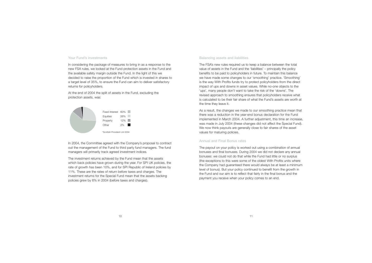#### **Your Fund's investments**

In considering the package of measures to bring in as a response to the new FSA rules, we looked at the Fund protection assets in the Fund and the available safety margin outside the Fund. In the light of this we decided to raise the proportion of the Fund which is invested in shares to a target level of 35%, to ensure the Fund can aim to deliver satisfactory returns for policyholders.

At the end of 2004 the split of assets in the Fund, excluding the protection assets, was:



In 2004, the Committee agreed with the Company's proposal to contract out the management of the Fund to third party fund managers. The fund managers will primarily track agreed investment indices.

The investment returns achieved by the Fund mean that the assets which back policies have grown during the year. For SPI UK policies, the rate of growth has been 10%, and for SPI Republic of Ireland policies by 11%. These are the rates of return before taxes and charges. The investment returns for the Special Fund mean that the assets backing policies grew by 6% in 2004 (before taxes and charges).

#### **Balancing assets and liabilities**

The FSA's new rules required us to keep a balance between the total value of assets in the Fund and the 'liabilities' – principally the policy benefits to be paid to policyholders in future. To maintain this balance we have made some changes to our 'smoothing' practice. 'Smoothing' is the way With Profits funds try to protect policyholders from the direct impact of ups and downs in asset values. While no-one objects to the 'ups', many people don't want to take the risk of the 'downs'. The revised approach to smoothing ensures that policyholders receive what is calculated to be their fair share of what the Fund's assets are worth at the time they leave it.

As a result, the changes we made to our smoothing practice mean that there was a reduction in the year-end bonus declaration for the Fund implemented in March 2004. A further adjustment, this time an increase, was made in July 2004 (these changes did not affect the Special Fund). We now think payouts are generally close to fair shares of the asset values for maturing policies.

#### **Annual and Final Bonus rates**

The payout on your policy is worked out using a combination of annual bonuses and final bonuses. During 2004 we did not declare any annual bonuses: we could not do that while the Fund had little or no surplus (the exceptions to this were some of the oldest With Profits units where the Company had guaranteed there would always be at least a minimum level of bonus). But your policy continued to benefit from the growth in the Fund and our aim is to reflect that fairly in the final bonus and the payment you receive when your policy comes to an end.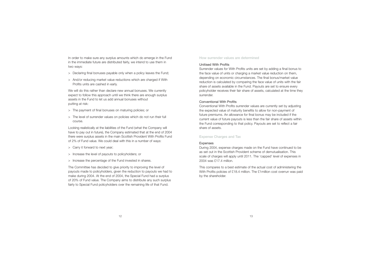In order to make sure any surplus amounts which do emerge in the Fund in the immediate future are distributed fairly, we intend to use them in two ways:

- <sup>&</sup>gt; Declaring final bonuses payable only when a policy leaves the Fund;
- <sup>&</sup>gt; And/or reducing market value reductions which are charged if With Profits units are cashed in early.

We will do this rather than declare new annual bonuses. We currently expect to follow this approach until we think there are enough surplus assets in the Fund to let us add annual bonuses without putting at risk:

- <sup>&</sup>gt; The payment of final bonuses on maturing policies; or
- <sup>&</sup>gt; The level of surrender values on policies which do not run their full course.

Looking realistically at the liabilities of the Fund (what the Company will have to pay out in future), the Company estimated that at the end of 2004 there were surplus assets in the main Scottish Provident With Profits Fund of 2% of Fund value. We could deal with this in a number of ways:

- <sup>&</sup>gt; Carry it forward to next year;
- <sup>&</sup>gt; Increase the level of payouts to policyholders; or
- <sup>&</sup>gt; Increase the percentage of the Fund invested in shares.

The Committee has decided to give priority to improving the level of payouts made to policyholders, given the reduction to payouts we had to make during 2004. At the end of 2004, the Special Fund had a surplus of 20% of Fund value. The Company aims to distribute any such surplus fairly to Special Fund policyholders over the remaining life of that Fund.

## **How surrender values are determined**

# Unitised With Profits

Surrender values for With Profits units are set by adding a final bonus to the face value of units or charging a market value reduction on them, depending on economic circumstances. The final bonus/market value reduction is calculated by comparing the face value of units with the fair share of assets available in the Fund. Payouts are set to ensure every policyholder receives their fair share of assets, calculated at the time they surrender.

# Conventional With Profits

Conventional With Profits surrender values are currently set by adjusting the expected value of maturity benefits to allow for non-payment of future premiums. An allowance for final bonus may be included if the current value of future payouts is less than the fair share of assets within the Fund corresponding to that policy. Payouts are set to reflect a fair share of assets.

# **Expense Charges and Tax**

# **Expenses**

During 2004, expense charges made on the Fund have continued to be as set out in the Scottish Provident scheme of demutualisation. This scale of charges will apply until 2011. The 'capped' level of expenses in 2004 was £17.4 million.

This compares to a best estimate of the actual cost of administering the With Profits policies of £18.4 million. The £1 million cost overrun was paid by the shareholder.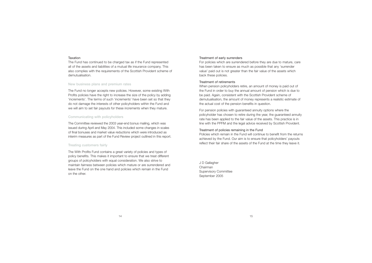## Taxation

The Fund has continued to be charged tax as if the Fund represented all of the assets and liabilities of a mutual life insurance company. This also complies with the requirements of the Scottish Provident scheme of demutualisation.

# **New business plans and premium rates**

The Fund no longer accepts new policies. However, some existing With Profits policies have the right to increase the size of the policy by adding 'increments'. The terms of such 'increments' have been set so that they do not damage the interests of other policyholders within the Fund and we will aim to set fair payouts for these increments when they mature.

# **Communicating with policyholders**

The Committee reviewed the 2003 year-end bonus mailing, which was issued during April and May 2004. This included some changes in scales of final bonuses and market value reductions which were introduced as interim measures as part of the Fund Review project outlined in this report.

# **Treating customers fairly**

The With Profits Fund contains a great variety of policies and types of policy benefits. This makes it important to ensure that we treat different groups of policyholders with equal consideration. We also strive to maintain fairness between policies which mature or are surrendered and leave the Fund on the one hand and policies which remain in the Fund on the other.

# Treatment of early surrenders

For policies which are surrendered before they are due to mature, care has been taken to ensure as much as possible that any 'surrender value' paid out is not greater than the fair value of the assets which back these policies.

# Treatment of retirements

When pension policyholders retire, an amount of money is paid out of the Fund in order to buy the annual amount of pension which is due to be paid. Again, consistent with the Scottish Provident scheme of demutualisation, the amount of money represents a realistic estimate of the actual cost of the pension benefits in question.

For pension policies with guaranteed annuity options where the policyholder has chosen to retire during the year, the guaranteed annuity rate has been applied to the fair value of the assets. This practice is in line with the PPFM and the legal advice received by Scottish Provident.

# Treatment of policies remaining in the Fund

Policies which remain in the Fund will continue to benefit from the returns achieved by the Fund. Our aim is to ensure that policyholders' payouts reflect their fair share of the assets of the Fund at the time they leave it.

J D Gallagher Chairman Supervisory Committee September 2005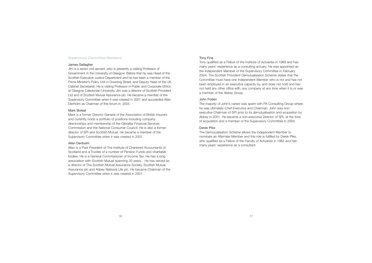# **Supervisory Committee Members**

#### James Gallagher

Jim is a senior civil servant, who is presently a visiting Professor of Government in the University of Glasgow. Before that he was Head of the Scottish Executive Justice Department and he has been a member of the Prime Minister's Policy Unit in Downing Street, and Deputy Head of the UK Cabinet Secretariat. He is visiting Professor in Public and Corporate Ethics at Glasgow Caledonian University. Jim was a director of Scottish Provident Ltd and of Scottish Mutual Assurance plc. He became a member of the Supervisory Committee when it was created in 2001 and succeeded Allan Denholm as Chairman of this forum in 2004.

#### Mark Boleat

Mark is a former Director General of the Association of British Insurers and currently holds a portfolio of positions including company directorships and membership of the Gibraltar Financial Services Commission and the National Consumer Council. He is also a former director of SPI and Scottish Mutual. He became a member of the Supervisory Committee when it was created in 2001.

## Allan Denholm

Allan is a Past President of The Institute of Chartered Accountants of Scotland and a Trustee of a number of Pension Funds and charitable bodies. He is a General Commissioner of Income Tax. He has a long association with Scottish Mutual spanning 30 years. He has served as a director of The Scottish Mutual Assurance Society, Scottish Mutual Assurance plc and Abbey National Life plc. He became Chairman of the Supervisory Committee when it was created in 2001.

## Tony Fine

Tony qualified as a Fellow of the Institute of Actuaries in 1968 and has many years' experience as a consulting actuary. He was appointed as the Independent Member of the Supervisory Committee in February 2004. The Scottish Provident Demutualisation Scheme states that the Committee must have one Independent Member who is not and has not been employed in an executive capacity by, and does not hold and has not held any other office with, any company at any time when it is or was a member of the Abbey Group.

## John Foden

The majority of John's career was spent with PA Consulting Group where he was ultimately Chief Executive and Chairman. John was nonexecutive Chairman of SPI prior to its demutualisation and acquisition by Abbey in 2001. He became a non-executive Director of SPL at the time of acquisition and a member of the Supervisory Committee in 2004.

## Derek Pike

The Demutualisation Scheme allows the Independent Member to nominate an Alternate Member and this role is fulfilled by Derek Pike, who qualified as a Fellow of the Faculty of Actuaries in 1982 and has many years' experience as a consultant.